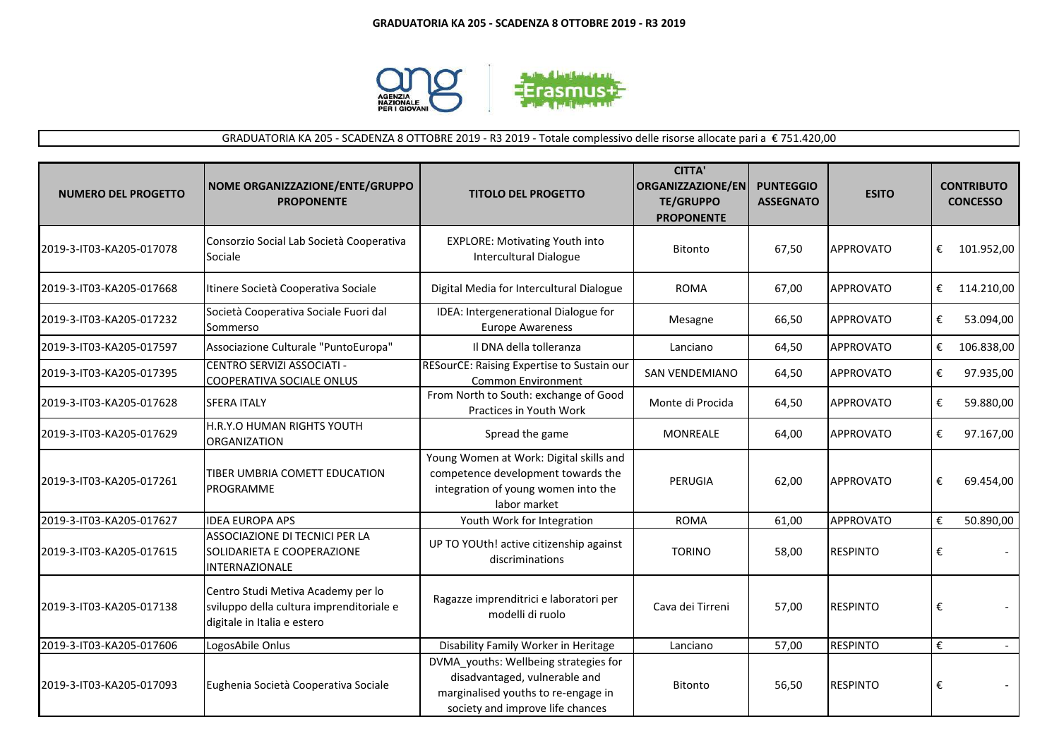

GRADUATORIA KA 205 - SCADENZA 8 OTTOBRE 2019 - R3 2019 - Totale complessivo delle risorse allocate pari a € 751.420,00

| <b>NUMERO DEL PROGETTO</b> | NOME ORGANIZZAZIONE/ENTE/GRUPPO<br><b>PROPONENTE</b>                                                          | <b>TITOLO DEL PROGETTO</b>                                                                                                                        | <b>CITTA'</b><br><b>ORGANIZZAZIONE/EN</b><br><b>TE/GRUPPO</b><br><b>PROPONENTE</b> | <b>PUNTEGGIO</b><br><b>ASSEGNATO</b> | <b>ESITO</b>     |   | <b>CONTRIBUTO</b><br><b>CONCESSO</b> |
|----------------------------|---------------------------------------------------------------------------------------------------------------|---------------------------------------------------------------------------------------------------------------------------------------------------|------------------------------------------------------------------------------------|--------------------------------------|------------------|---|--------------------------------------|
| 2019-3-IT03-KA205-017078   | Consorzio Social Lab Società Cooperativa<br>Sociale                                                           | <b>EXPLORE: Motivating Youth into</b><br><b>Intercultural Dialogue</b>                                                                            | <b>Bitonto</b>                                                                     | 67,50                                | <b>APPROVATO</b> | € | 101.952,00                           |
| 2019-3-IT03-KA205-017668   | Itinere Società Cooperativa Sociale                                                                           | Digital Media for Intercultural Dialogue                                                                                                          | <b>ROMA</b>                                                                        | 67,00                                | <b>APPROVATO</b> | € | 114.210,00                           |
| 2019-3-IT03-KA205-017232   | Società Cooperativa Sociale Fuori dal<br>Sommerso                                                             | IDEA: Intergenerational Dialogue for<br><b>Europe Awareness</b>                                                                                   | Mesagne                                                                            | 66,50                                | <b>APPROVATO</b> | € | 53.094,00                            |
| 2019-3-IT03-KA205-017597   | Associazione Culturale "PuntoEuropa"                                                                          | Il DNA della tolleranza                                                                                                                           | Lanciano                                                                           | 64,50                                | <b>APPROVATO</b> | € | 106.838,00                           |
| 2019-3-IT03-KA205-017395   | CENTRO SERVIZI ASSOCIATI -<br><b>COOPERATIVA SOCIALE ONLUS</b>                                                | RESourCE: Raising Expertise to Sustain our<br><b>Common Environment</b>                                                                           | <b>SAN VENDEMIANO</b>                                                              | 64,50                                | <b>APPROVATO</b> | € | 97.935,00                            |
| 2019-3-IT03-KA205-017628   | <b>SFERA ITALY</b>                                                                                            | From North to South: exchange of Good<br>Practices in Youth Work                                                                                  | Monte di Procida                                                                   | 64,50                                | <b>APPROVATO</b> | € | 59.880,00                            |
| 2019-3-IT03-KA205-017629   | H.R.Y.O HUMAN RIGHTS YOUTH<br><b>ORGANIZATION</b>                                                             | Spread the game                                                                                                                                   | <b>MONREALE</b>                                                                    | 64,00                                | <b>APPROVATO</b> | € | 97.167,00                            |
| 2019-3-IT03-KA205-017261   | TIBER UMBRIA COMETT EDUCATION<br>PROGRAMME                                                                    | Young Women at Work: Digital skills and<br>competence development towards the<br>integration of young women into the<br>labor market              | PERUGIA                                                                            | 62,00                                | <b>APPROVATO</b> | € | 69.454,00                            |
| 2019-3-IT03-KA205-017627   | <b>IDEA EUROPA APS</b>                                                                                        | Youth Work for Integration                                                                                                                        | <b>ROMA</b>                                                                        | 61,00                                | <b>APPROVATO</b> | € | 50.890,00                            |
| 2019-3-IT03-KA205-017615   | ASSOCIAZIONE DI TECNICI PER LA<br>SOLIDARIETA E COOPERAZIONE<br><b>INTERNAZIONALE</b>                         | UP TO YOUth! active citizenship against<br>discriminations                                                                                        | <b>TORINO</b>                                                                      | 58,00                                | <b>RESPINTO</b>  | € |                                      |
| 2019-3-IT03-KA205-017138   | Centro Studi Metiva Academy per lo<br>sviluppo della cultura imprenditoriale e<br>digitale in Italia e estero | Ragazze imprenditrici e laboratori per<br>modelli di ruolo                                                                                        | Cava dei Tirreni                                                                   | 57,00                                | <b>RESPINTO</b>  | € |                                      |
| 2019-3-IT03-KA205-017606   | LogosAbile Onlus                                                                                              | Disability Family Worker in Heritage                                                                                                              | Lanciano                                                                           | 57,00                                | <b>RESPINTO</b>  | € | $\sim$                               |
| 2019-3-IT03-KA205-017093   | Eughenia Società Cooperativa Sociale                                                                          | DVMA youths: Wellbeing strategies for<br>disadvantaged, vulnerable and<br>marginalised youths to re-engage in<br>society and improve life chances | <b>Bitonto</b>                                                                     | 56,50                                | <b>RESPINTO</b>  | € |                                      |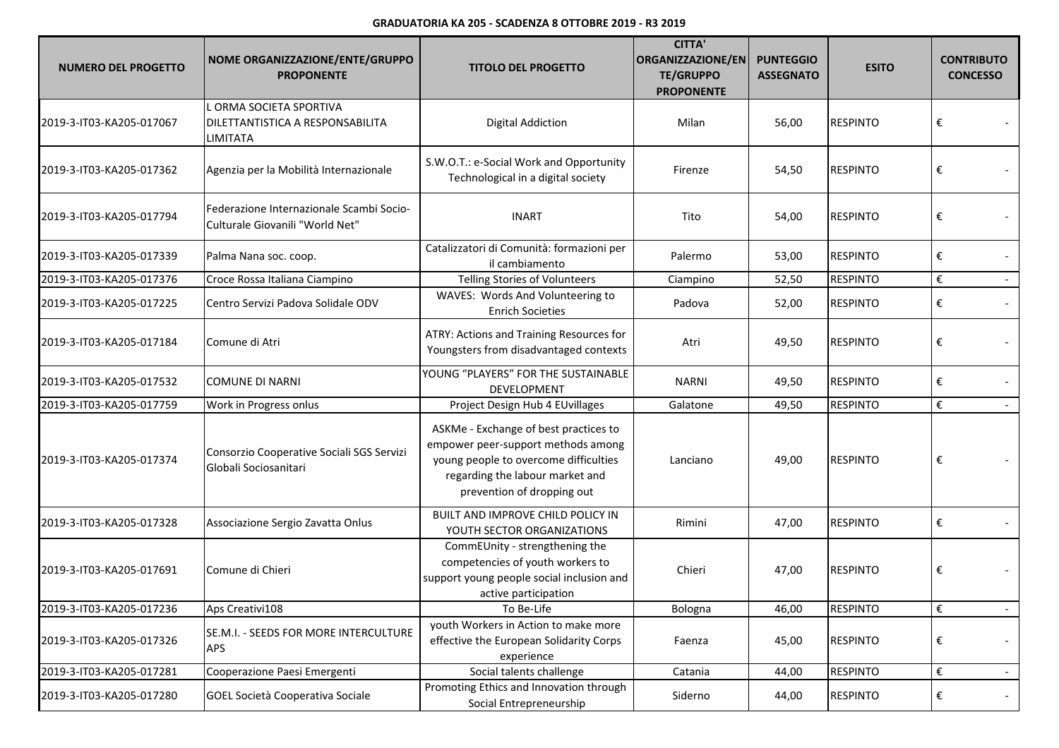| <b>NUMERO DEL PROGETTO</b> | NOME ORGANIZZAZIONE/ENTE/GRUPPO<br><b>PROPONENTE</b>                        | <b>TITOLO DEL PROGETTO</b>                                                                                                                                                            | <b>CITTA'</b><br>ORGANIZZAZIONE/EN<br><b>TE/GRUPPO</b><br><b>PROPONENTE</b> | <b>PUNTEGGIO</b><br><b>ASSEGNATO</b> | <b>ESITO</b>    | <b>CONTRIBUTO</b><br><b>CONCESSO</b> |  |
|----------------------------|-----------------------------------------------------------------------------|---------------------------------------------------------------------------------------------------------------------------------------------------------------------------------------|-----------------------------------------------------------------------------|--------------------------------------|-----------------|--------------------------------------|--|
| 2019-3-IT03-KA205-017067   | L ORMA SOCIETA SPORTIVA<br>DILETTANTISTICA A RESPONSABILITA<br>LIMITATA     | <b>Digital Addiction</b>                                                                                                                                                              | Milan                                                                       | 56,00                                | <b>RESPINTO</b> | €                                    |  |
| 2019-3-IT03-KA205-017362   | Agenzia per la Mobilità Internazionale                                      | S.W.O.T.: e-Social Work and Opportunity<br>Technological in a digital society                                                                                                         | Firenze                                                                     | 54,50                                | <b>RESPINTO</b> | €                                    |  |
| 2019-3-IT03-KA205-017794   | Federazione Internazionale Scambi Socio-<br>Culturale Giovanili "World Net" | <b>INART</b>                                                                                                                                                                          | Tito                                                                        | 54,00                                | <b>RESPINTO</b> | €                                    |  |
| 2019-3-IT03-KA205-017339   | Palma Nana soc. coop.                                                       | Catalizzatori di Comunità: formazioni per<br>il cambiamento                                                                                                                           | Palermo                                                                     | 53,00                                | <b>RESPINTO</b> | €                                    |  |
| 2019-3-IT03-KA205-017376   | Croce Rossa Italiana Ciampino                                               | <b>Telling Stories of Volunteers</b>                                                                                                                                                  | Ciampino                                                                    | 52,50                                | <b>RESPINTO</b> | €                                    |  |
| 2019-3-IT03-KA205-017225   | Centro Servizi Padova Solidale ODV                                          | WAVES: Words And Volunteering to<br><b>Enrich Societies</b>                                                                                                                           | Padova                                                                      | 52,00                                | <b>RESPINTO</b> | €                                    |  |
| 2019-3-IT03-KA205-017184   | Comune di Atri                                                              | ATRY: Actions and Training Resources for<br>Youngsters from disadvantaged contexts                                                                                                    | Atri                                                                        | 49,50                                | <b>RESPINTO</b> | €                                    |  |
| 2019-3-IT03-KA205-017532   | <b>COMUNE DI NARNI</b>                                                      | YOUNG "PLAYERS" FOR THE SUSTAINABLE<br>DEVELOPMENT                                                                                                                                    | <b>NARNI</b>                                                                | 49,50                                | <b>RESPINTO</b> | €                                    |  |
| 2019-3-IT03-KA205-017759   | Work in Progress onlus                                                      | Project Design Hub 4 EUvillages                                                                                                                                                       | Galatone                                                                    | 49,50                                | <b>RESPINTO</b> | €                                    |  |
| 2019-3-IT03-KA205-017374   | Consorzio Cooperative Sociali SGS Servizi<br>Globali Sociosanitari          | ASKMe - Exchange of best practices to<br>empower peer-support methods among<br>young people to overcome difficulties<br>regarding the labour market and<br>prevention of dropping out | Lanciano                                                                    | 49,00                                | <b>RESPINTO</b> | €                                    |  |
| 2019-3-IT03-KA205-017328   | Associazione Sergio Zavatta Onlus                                           | BUILT AND IMPROVE CHILD POLICY IN<br>YOUTH SECTOR ORGANIZATIONS                                                                                                                       | Rimini                                                                      | 47,00                                | <b>RESPINTO</b> | €                                    |  |
| 2019-3-IT03-KA205-017691   | Comune di Chieri                                                            | CommEUnity - strengthening the<br>competencies of youth workers to<br>support young people social inclusion and<br>active participation                                               | Chieri                                                                      | 47,00                                | <b>RESPINTO</b> | €                                    |  |
| 2019-3-IT03-KA205-017236   | Aps Creativi108                                                             | To Be-Life                                                                                                                                                                            | Bologna                                                                     | 46,00                                | <b>RESPINTO</b> | €                                    |  |
| 2019-3-IT03-KA205-017326   | SE.M.I. - SEEDS FOR MORE INTERCULTURE<br><b>APS</b>                         | youth Workers in Action to make more<br>effective the European Solidarity Corps<br>experience                                                                                         | Faenza                                                                      | 45,00                                | <b>RESPINTO</b> | €                                    |  |
| 2019-3-IT03-KA205-017281   | Cooperazione Paesi Emergenti                                                | Social talents challenge                                                                                                                                                              | Catania                                                                     | 44,00                                | <b>RESPINTO</b> | €                                    |  |
| 2019-3-IT03-KA205-017280   | GOEL Società Cooperativa Sociale                                            | Promoting Ethics and Innovation through<br>Social Entrepreneurship                                                                                                                    | Siderno                                                                     | 44,00                                | <b>RESPINTO</b> | €                                    |  |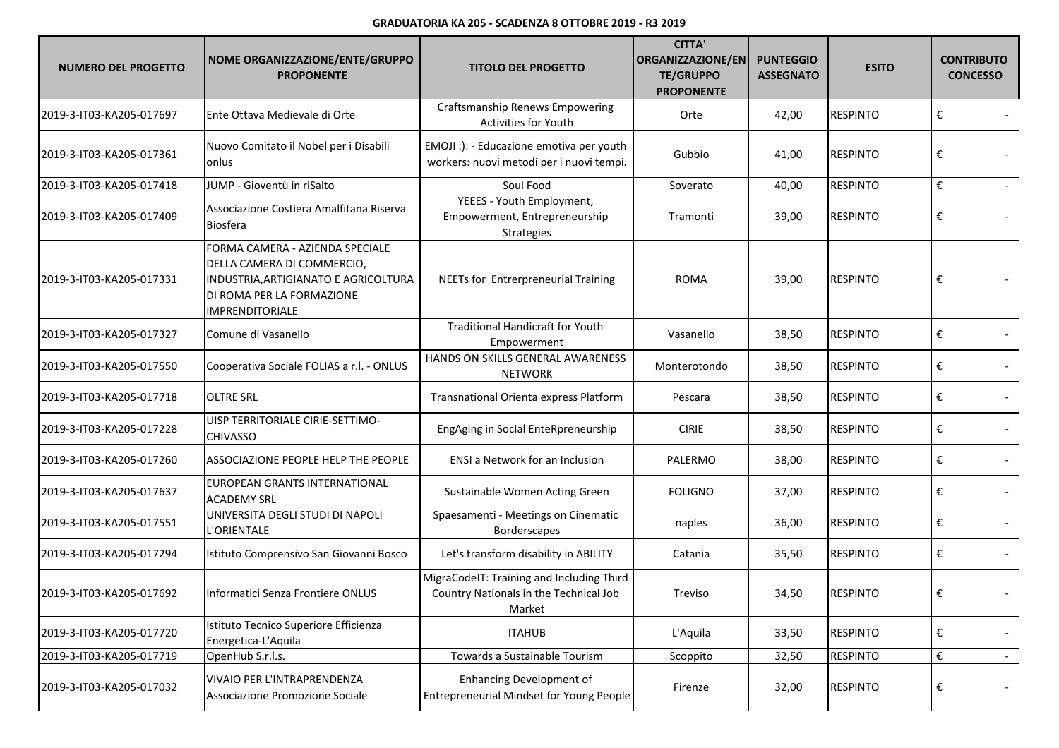## **GRADUATORIA KA 205 - SCADENZA 8 OTTOBRE 2019 - R3 2019**

| <b>NUMERO DEL PROGETTO</b> | NOME ORGANIZZAZIONE/ENTE/GRUPPO<br><b>PROPONENTE</b>                                                                                                         | <b>TITOLO DEL PROGETTO</b>                                                                    | <b>CITTA'</b><br><b>ORGANIZZAZIONE/EN</b><br><b>TE/GRUPPO</b><br><b>PROPONENTE</b> | <b>PUNTEGGIO</b><br><b>ASSEGNATO</b> | <b>ESITO</b>    | <b>CONTRIBUTO</b><br><b>CONCESSO</b> |        |
|----------------------------|--------------------------------------------------------------------------------------------------------------------------------------------------------------|-----------------------------------------------------------------------------------------------|------------------------------------------------------------------------------------|--------------------------------------|-----------------|--------------------------------------|--------|
| 2019-3-IT03-KA205-017697   | Ente Ottava Medievale di Orte                                                                                                                                | <b>Craftsmanship Renews Empowering</b><br>Activities for Youth                                | Orte                                                                               | 42,00                                | <b>RESPINTO</b> | €                                    |        |
| 2019-3-IT03-KA205-017361   | Nuovo Comitato il Nobel per i Disabili<br>onlus                                                                                                              | EMOJI :): - Educazione emotiva per youth<br>workers: nuovi metodi per i nuovi tempi.          | Gubbio                                                                             | 41,00                                | <b>RESPINTO</b> | €                                    |        |
| 2019-3-IT03-KA205-017418   | JUMP - Gioventù in riSalto                                                                                                                                   | Soul Food                                                                                     | Soverato                                                                           | 40,00                                | <b>RESPINTO</b> | €                                    | $\sim$ |
| 2019-3-IT03-KA205-017409   | Associazione Costiera Amalfitana Riserva<br><b>Biosfera</b>                                                                                                  | YEEES - Youth Employment,<br>Empowerment, Entrepreneurship<br>Strategies                      | Tramonti                                                                           | 39,00                                | <b>RESPINTO</b> | €                                    |        |
| 2019-3-IT03-KA205-017331   | FORMA CAMERA - AZIENDA SPECIALE<br>DELLA CAMERA DI COMMERCIO,<br>INDUSTRIA, ARTIGIANATO E AGRICOLTURA<br>DI ROMA PER LA FORMAZIONE<br><b>IMPRENDITORIALE</b> | NEETs for Entrerpreneurial Training                                                           | <b>ROMA</b>                                                                        | 39,00                                | <b>RESPINTO</b> | €                                    |        |
| 2019-3-IT03-KA205-017327   | Comune di Vasanello                                                                                                                                          | <b>Traditional Handicraft for Youth</b><br>Empowerment                                        | Vasanello                                                                          | 38,50                                | <b>RESPINTO</b> | €                                    |        |
| 2019-3-IT03-KA205-017550   | Cooperativa Sociale FOLIAS a r.l. - ONLUS                                                                                                                    | HANDS ON SKILLS GENERAL AWARENESS<br><b>NETWORK</b>                                           | Monterotondo                                                                       | 38,50                                | <b>RESPINTO</b> | €                                    |        |
| 2019-3-IT03-KA205-017718   | <b>OLTRE SRL</b>                                                                                                                                             | Transnational Orienta express Platform                                                        | Pescara                                                                            | 38,50                                | <b>RESPINTO</b> | €                                    |        |
| 2019-3-IT03-KA205-017228   | UISP TERRITORIALE CIRIE-SETTIMO-<br><b>CHIVASSO</b>                                                                                                          | EngAging in SocIal EnteRpreneurship                                                           | <b>CIRIE</b>                                                                       | 38,50                                | <b>RESPINTO</b> | €                                    |        |
| 2019-3-IT03-KA205-017260   | ASSOCIAZIONE PEOPLE HELP THE PEOPLE                                                                                                                          | ENSI a Network for an Inclusion                                                               | PALERMO                                                                            | 38,00                                | <b>RESPINTO</b> | €                                    |        |
| 2019-3-IT03-KA205-017637   | EUROPEAN GRANTS INTERNATIONAL<br><b>ACADEMY SRL</b>                                                                                                          | Sustainable Women Acting Green                                                                | <b>FOLIGNO</b>                                                                     | 37,00                                | <b>RESPINTO</b> | €                                    |        |
| 2019-3-IT03-KA205-017551   | UNIVERSITA DEGLI STUDI DI NAPOLI<br>'ORIENTALE                                                                                                               | Spaesamenti - Meetings on Cinematic<br>Borderscapes                                           | naples                                                                             | 36,00                                | <b>RESPINTO</b> | €                                    |        |
| 2019-3-IT03-KA205-017294   | Istituto Comprensivo San Giovanni Bosco                                                                                                                      | Let's transform disability in ABILITY                                                         | Catania                                                                            | 35,50                                | <b>RESPINTO</b> | €                                    |        |
| 2019-3-IT03-KA205-017692   | Informatici Senza Frontiere ONLUS                                                                                                                            | MigraCodelT: Training and Including Third<br>Country Nationals in the Technical Job<br>Market | Treviso                                                                            | 34,50                                | <b>RESPINTO</b> | €                                    |        |
| 2019-3-IT03-KA205-017720   | Istituto Tecnico Superiore Efficienza<br>Energetica-L'Aquila                                                                                                 | <b>ITAHUB</b>                                                                                 | L'Aquila                                                                           | 33,50                                | <b>RESPINTO</b> | €                                    |        |
| 2019-3-IT03-KA205-017719   | OpenHub S.r.l.s.                                                                                                                                             | Towards a Sustainable Tourism                                                                 | Scoppito                                                                           | 32,50                                | <b>RESPINTO</b> | €                                    |        |
| 2019-3-IT03-KA205-017032   | VIVAIO PER L'INTRAPRENDENZA<br>Associazione Promozione Sociale                                                                                               | <b>Enhancing Development of</b><br>Entrepreneurial Mindset for Young People                   | Firenze                                                                            | 32,00                                | <b>RESPINTO</b> | €                                    |        |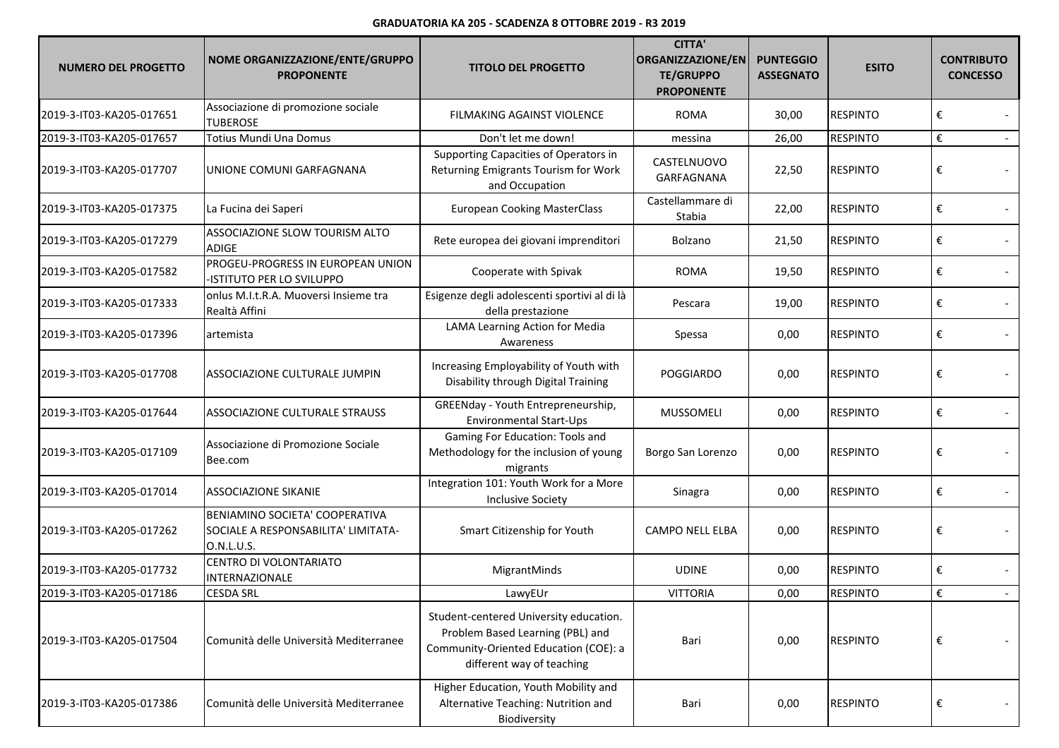## **GRADUATORIA KA 205 - SCADENZA 8 OTTOBRE 2019 - R3 2019**

| <b>NUMERO DEL PROGETTO</b> | NOME ORGANIZZAZIONE/ENTE/GRUPPO<br><b>PROPONENTE</b>                                | <b>TITOLO DEL PROGETTO</b>                                                                                                                       | <b>CITTA'</b><br><b>ORGANIZZAZIONE/EN</b><br><b>TE/GRUPPO</b><br><b>PROPONENTE</b> | <b>PUNTEGGIO</b><br><b>ASSEGNATO</b> | <b>ESITO</b>    | <b>CONTRIBUTO</b><br><b>CONCESSO</b> |
|----------------------------|-------------------------------------------------------------------------------------|--------------------------------------------------------------------------------------------------------------------------------------------------|------------------------------------------------------------------------------------|--------------------------------------|-----------------|--------------------------------------|
| 2019-3-IT03-KA205-017651   | Associazione di promozione sociale<br><b>TUBEROSE</b>                               | FILMAKING AGAINST VIOLENCE                                                                                                                       | <b>ROMA</b>                                                                        | 30,00                                | <b>RESPINTO</b> | €                                    |
| 2019-3-IT03-KA205-017657   | Totius Mundi Una Domus                                                              | Don't let me down!                                                                                                                               | messina                                                                            | 26,00                                | <b>RESPINTO</b> | €                                    |
| 2019-3-IT03-KA205-017707   | UNIONE COMUNI GARFAGNANA                                                            | Supporting Capacities of Operators in<br>Returning Emigrants Tourism for Work<br>and Occupation                                                  | CASTELNUOVO<br>GARFAGNANA                                                          | 22,50                                | <b>RESPINTO</b> | €                                    |
| 2019-3-IT03-KA205-017375   | La Fucina dei Saperi                                                                | <b>European Cooking MasterClass</b>                                                                                                              | Castellammare di<br>Stabia                                                         | 22,00                                | <b>RESPINTO</b> | €                                    |
| 2019-3-IT03-KA205-017279   | ASSOCIAZIONE SLOW TOURISM ALTO<br><b>ADIGE</b>                                      | Rete europea dei giovani imprenditori                                                                                                            | Bolzano                                                                            | 21,50                                | <b>RESPINTO</b> | €                                    |
| 2019-3-IT03-KA205-017582   | PROGEU-PROGRESS IN EUROPEAN UNION<br>ISTITUTO PER LO SVILUPPO                       | Cooperate with Spivak                                                                                                                            | <b>ROMA</b>                                                                        | 19,50                                | <b>RESPINTO</b> | €                                    |
| 2019-3-IT03-KA205-017333   | onlus M.I.t.R.A. Muoversi Insieme tra<br>Realtà Affini                              | Esigenze degli adolescenti sportivi al di là<br>della prestazione                                                                                | Pescara                                                                            | 19,00                                | <b>RESPINTO</b> | €                                    |
| 2019-3-IT03-KA205-017396   | artemista                                                                           | LAMA Learning Action for Media<br>Awareness                                                                                                      | Spessa                                                                             | 0,00                                 | <b>RESPINTO</b> | €                                    |
| 2019-3-IT03-KA205-017708   | ASSOCIAZIONE CULTURALE JUMPIN                                                       | Increasing Employability of Youth with<br>Disability through Digital Training                                                                    | <b>POGGIARDO</b>                                                                   | 0,00                                 | <b>RESPINTO</b> | €                                    |
| 2019-3-IT03-KA205-017644   | <b>ASSOCIAZIONE CULTURALE STRAUSS</b>                                               | GREENday - Youth Entrepreneurship,<br>Environmental Start-Ups                                                                                    | MUSSOMELI                                                                          | 0,00                                 | <b>RESPINTO</b> | €                                    |
| 2019-3-IT03-KA205-017109   | Associazione di Promozione Sociale<br>Bee.com                                       | Gaming For Education: Tools and<br>Methodology for the inclusion of young<br>migrants                                                            | Borgo San Lorenzo                                                                  | 0,00                                 | <b>RESPINTO</b> | €                                    |
| 2019-3-IT03-KA205-017014   | <b>ASSOCIAZIONE SIKANIE</b>                                                         | Integration 101: Youth Work for a More<br><b>Inclusive Society</b>                                                                               | Sinagra                                                                            | 0,00                                 | <b>RESPINTO</b> | €                                    |
| 2019-3-IT03-KA205-017262   | BENIAMINO SOCIETA' COOPERATIVA<br>SOCIALE A RESPONSABILITA' LIMITATA-<br>O.N.L.U.S. | Smart Citizenship for Youth                                                                                                                      | <b>CAMPO NELL ELBA</b>                                                             | 0,00                                 | <b>RESPINTO</b> | €                                    |
| 2019-3-IT03-KA205-017732   | CENTRO DI VOLONTARIATO<br>INTERNAZIONALE                                            | MigrantMinds                                                                                                                                     | <b>UDINE</b>                                                                       | 0,00                                 | <b>RESPINTO</b> | €                                    |
| 2019-3-IT03-KA205-017186   | <b>CESDA SRL</b>                                                                    | LawyEUr                                                                                                                                          | <b>VITTORIA</b>                                                                    | 0,00                                 | <b>RESPINTO</b> | €                                    |
| 2019-3-IT03-KA205-017504   | Comunità delle Università Mediterranee                                              | Student-centered University education.<br>Problem Based Learning (PBL) and<br>Community-Oriented Education (COE): a<br>different way of teaching | Bari                                                                               | 0,00                                 | <b>RESPINTO</b> | €                                    |
| 2019-3-IT03-KA205-017386   | Comunità delle Università Mediterranee                                              | Higher Education, Youth Mobility and<br>Alternative Teaching: Nutrition and<br>Biodiversity                                                      | Bari                                                                               | 0,00                                 | <b>RESPINTO</b> | €                                    |